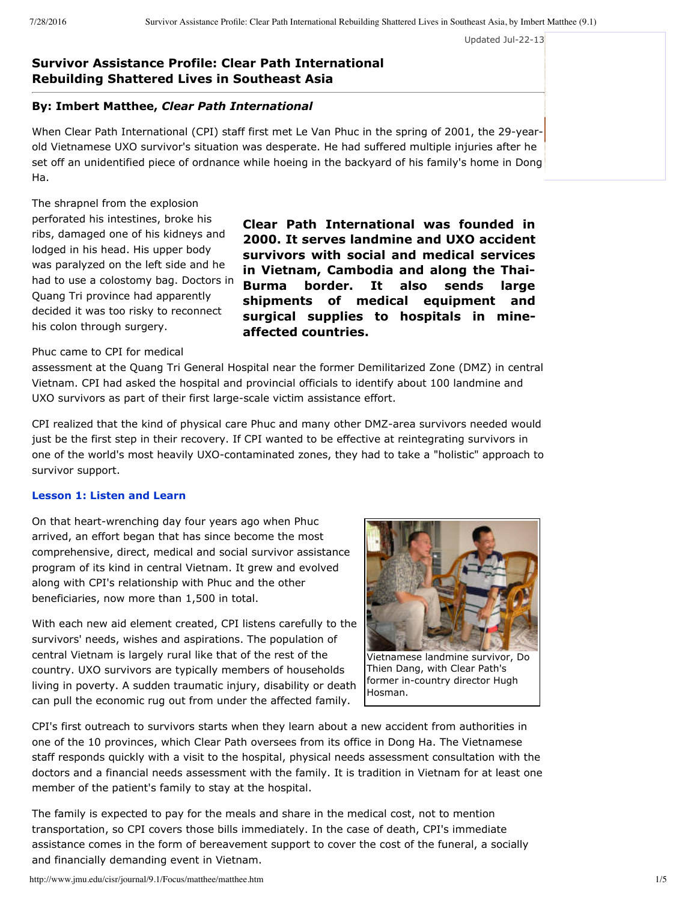Updated Jul-22-13

# **Survivor Assistance Profile: Clear Path International Rebuilding Shattered Lives in Southeast Asia**

# **By: Imbert Matthee,** *Clear Path International*

When Clear Path International (CPI) staff first met Le Van Phuc in the spring of 2001, the 29-yearold Vietnamese UXO survivor's situation was desperate. He had suffered multiple injuries after he set off an unidentified piece of ordnance while hoeing in the backyard of his family's home in Dong Ha.

The shrapnel from the explosion perforated his intestines, broke his ribs, damaged one of his kidneys and lodged in his head. His upper body was paralyzed on the left side and he had to use a colostomy bag. Doctors in Quang Tri province had apparently decided it was too risky to reconnect his colon through surgery.

**Clear Path International was founded in 2000. It serves landmine and UXO accident survivors with social and medical services in Vietnam, Cambodia and along the Thai-Burma border. It also sends large shipments of medical equipment and surgical supplies to hospitals in mineaffected countries.**

#### Phuc came to CPI for medical

assessment at the Quang Tri General Hospital near the former Demilitarized Zone (DMZ) in central Vietnam. CPI had asked the hospital and provincial officials to identify about 100 landmine and UXO survivors as part of their first large-scale victim assistance effort.

CPI realized that the kind of physical care Phuc and many other DMZ-area survivors needed would just be the first step in their recovery. If CPI wanted to be effective at reintegrating survivors in one of the world's most heavily UXO-contaminated zones, they had to take a "holistic" approach to survivor support.

#### **Lesson 1: Listen and Learn**

On that heart-wrenching day four years ago when Phuc arrived, an effort began that has since become the most comprehensive, direct, medical and social survivor assistance program of its kind in central Vietnam. It grew and evolved along with CPI's relationship with Phuc and the other beneficiaries, now more than 1,500 in total.

With each new aid element created, CPI listens carefully to the survivors' needs, wishes and aspirations. The population of central Vietnam is largely rural like that of the rest of the country. UXO survivors are typically members of households living in poverty. A sudden traumatic injury, disability or death can pull the economic rug out from under the affected family.



Vietnamese landmine survivor, Do Thien Dang, with Clear Path's former in-country director Hugh Hosman.

CPI's first outreach to survivors starts when they learn about a new accident from authorities in one of the 10 provinces, which Clear Path oversees from its office in Dong Ha. The Vietnamese staff responds quickly with a visit to the hospital, physical needs assessment consultation with the doctors and a financial needs assessment with the family. It is tradition in Vietnam for at least one member of the patient's family to stay at the hospital.

The family is expected to pay for the meals and share in the medical cost, not to mention transportation, so CPI covers those bills immediately. In the case of death, CPI's immediate assistance comes in the form of bereavement support to cover the cost of the funeral, a socially and financially demanding event in Vietnam.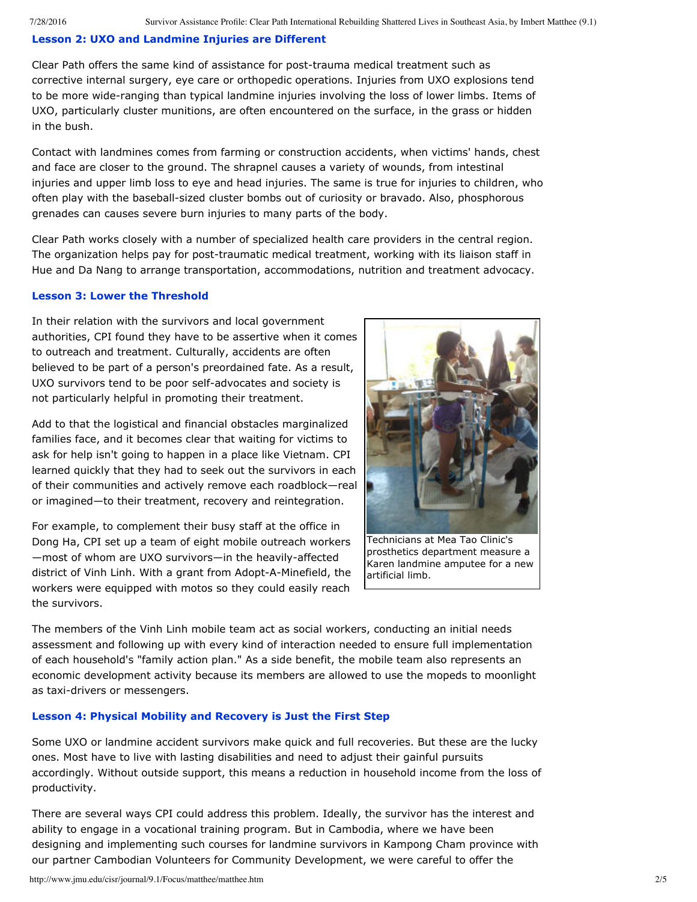## **Lesson 2: UXO and Landmine Injuries are Different**

Clear Path offers the same kind of assistance for post-trauma medical treatment such as corrective internal surgery, eye care or orthopedic operations. Injuries from UXO explosions tend to be more wide-ranging than typical landmine injuries involving the loss of lower limbs. Items of UXO, particularly cluster munitions, are often encountered on the surface, in the grass or hidden in the bush.

Contact with landmines comes from farming or construction accidents, when victims' hands, chest and face are closer to the ground. The shrapnel causes a variety of wounds, from intestinal injuries and upper limb loss to eye and head injuries. The same is true for injuries to children, who often play with the baseball-sized cluster bombs out of curiosity or bravado. Also, phosphorous grenades can causes severe burn injuries to many parts of the body.

Clear Path works closely with a number of specialized health care providers in the central region. The organization helps pay for post-traumatic medical treatment, working with its liaison staff in Hue and Da Nang to arrange transportation, accommodations, nutrition and treatment advocacy.

#### **Lesson 3: Lower the Threshold**

In their relation with the survivors and local government authorities, CPI found they have to be assertive when it comes to outreach and treatment. Culturally, accidents are often believed to be part of a person's preordained fate. As a result, UXO survivors tend to be poor self-advocates and society is not particularly helpful in promoting their treatment.

Add to that the logistical and financial obstacles marginalized families face, and it becomes clear that waiting for victims to ask for help isn't going to happen in a place like Vietnam. CPI learned quickly that they had to seek out the survivors in each of their communities and actively remove each roadblock—real or imagined—to their treatment, recovery and reintegration.

For example, to complement their busy staff at the office in Dong Ha, CPI set up a team of eight mobile outreach workers -most of whom are UXO survivors-in the heavily-affected district of Vinh Linh. With a grant from Adopt-A-Minefield, the workers were equipped with motos so they could easily reach the survivors.



Technicians at Mea Tao Clinic's prosthetics department measure a Karen landmine amputee for a new artificial limb.

The members of the Vinh Linh mobile team act as social workers, conducting an initial needs assessment and following up with every kind of interaction needed to ensure full implementation of each household's "family action plan." As a side benefit, the mobile team also represents an economic development activity because its members are allowed to use the mopeds to moonlight as taxi-drivers or messengers.

## **Lesson 4: Physical Mobility and Recovery is Just the First Step**

Some UXO or landmine accident survivors make quick and full recoveries. But these are the lucky ones. Most have to live with lasting disabilities and need to adjust their gainful pursuits accordingly. Without outside support, this means a reduction in household income from the loss of productivity.

There are several ways CPI could address this problem. Ideally, the survivor has the interest and ability to engage in a vocational training program. But in Cambodia, where we have been designing and implementing such courses for landmine survivors in Kampong Cham province with our partner Cambodian Volunteers for Community Development, we were careful to offer the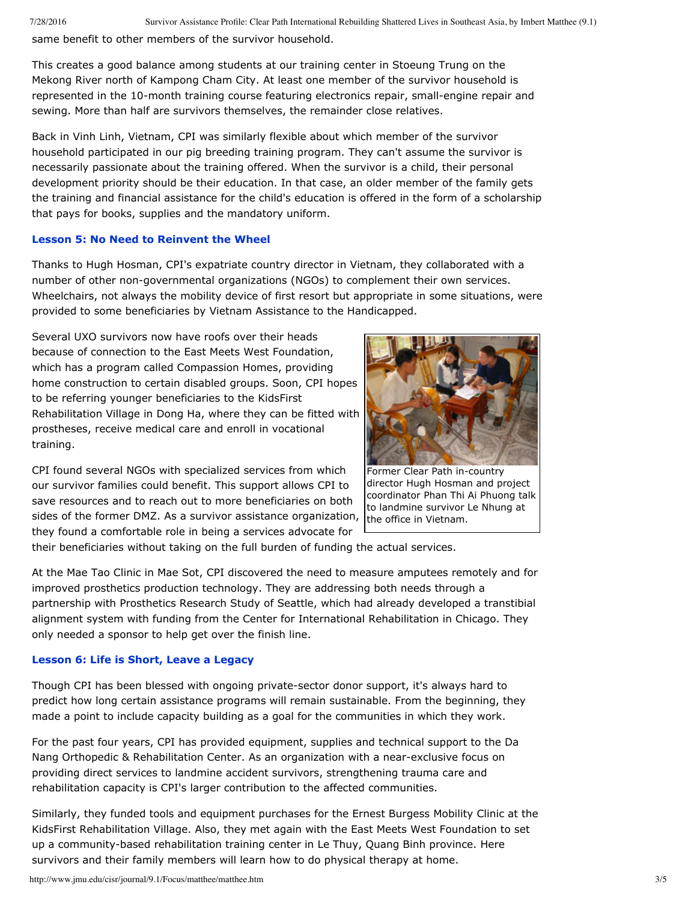same benefit to other members of the survivor household.

This creates a good balance among students at our training center in Stoeung Trung on the Mekong River north of Kampong Cham City. At least one member of the survivor household is represented in the 10-month training course featuring electronics repair, small-engine repair and sewing. More than half are survivors themselves, the remainder close relatives.

Back in Vinh Linh, Vietnam, CPI was similarly flexible about which member of the survivor household participated in our pig breeding training program. They can't assume the survivor is necessarily passionate about the training offered. When the survivor is a child, their personal development priority should be their education. In that case, an older member of the family gets the training and financial assistance for the child's education is offered in the form of a scholarship that pays for books, supplies and the mandatory uniform.

#### **Lesson 5: No Need to Reinvent the Wheel**

Thanks to Hugh Hosman, CPI's expatriate country director in Vietnam, they collaborated with a number of other non-governmental organizations (NGOs) to complement their own services. Wheelchairs, not always the mobility device of first resort but appropriate in some situations, were provided to some beneficiaries by Vietnam Assistance to the Handicapped.

Several UXO survivors now have roofs over their heads because of connection to the East Meets West Foundation, which has a program called Compassion Homes, providing home construction to certain disabled groups. Soon, CPI hopes to be referring younger beneficiaries to the KidsFirst Rehabilitation Village in Dong Ha, where they can be fitted with prostheses, receive medical care and enroll in vocational training.

CPI found several NGOs with specialized services from which our survivor families could benefit. This support allows CPI to save resources and to reach out to more beneficiaries on both sides of the former DMZ. As a survivor assistance organization, they found a comfortable role in being a services advocate for



Former Clear Path in-country director Hugh Hosman and project coordinator Phan Thi Ai Phuong talk to landmine survivor Le Nhung at the office in Vietnam.

their beneficiaries without taking on the full burden of funding the actual services.

At the Mae Tao Clinic in Mae Sot, CPI discovered the need to measure amputees remotely and for improved prosthetics production technology. They are addressing both needs through a partnership with Prosthetics Research Study of Seattle, which had already developed a transtibial alignment system with funding from the Center for International Rehabilitation in Chicago. They only needed a sponsor to help get over the finish line.

## **Lesson 6: Life is Short, Leave a Legacy**

Though CPI has been blessed with ongoing private-sector donor support, it's always hard to predict how long certain assistance programs will remain sustainable. From the beginning, they made a point to include capacity building as a goal for the communities in which they work.

For the past four years, CPI has provided equipment, supplies and technical support to the Da Nang Orthopedic & Rehabilitation Center. As an organization with a near-exclusive focus on providing direct services to landmine accident survivors, strengthening trauma care and rehabilitation capacity is CPI's larger contribution to the affected communities.

Similarly, they funded tools and equipment purchases for the Ernest Burgess Mobility Clinic at the KidsFirst Rehabilitation Village. Also, they met again with the East Meets West Foundation to set up a community-based rehabilitation training center in Le Thuy, Quang Binh province. Here survivors and their family members will learn how to do physical therapy at home.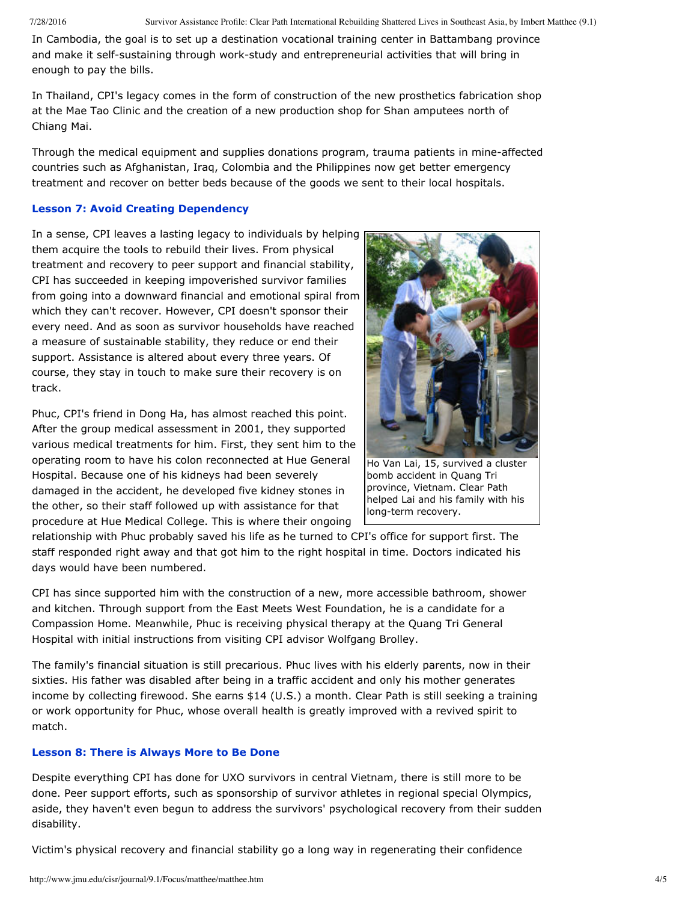7/28/2016 Survivor Assistance Profile: Clear Path International Rebuilding Shattered Lives in Southeast Asia, by Imbert Matthee (9.1)

In Cambodia, the goal is to set up a destination vocational training center in Battambang province and make it self-sustaining through work-study and entrepreneurial activities that will bring in enough to pay the bills.

In Thailand, CPI's legacy comes in the form of construction of the new prosthetics fabrication shop at the Mae Tao Clinic and the creation of a new production shop for Shan amputees north of Chiang Mai.

Through the medical equipment and supplies donations program, trauma patients in mine-affected countries such as Afghanistan, Iraq, Colombia and the Philippines now get better emergency treatment and recover on better beds because of the goods we sent to their local hospitals.

# **Lesson 7: Avoid Creating Dependency**

In a sense, CPI leaves a lasting legacy to individuals by helping them acquire the tools to rebuild their lives. From physical treatment and recovery to peer support and financial stability, CPI has succeeded in keeping impoverished survivor families from going into a downward financial and emotional spiral from which they can't recover. However, CPI doesn't sponsor their every need. And as soon as survivor households have reached a measure of sustainable stability, they reduce or end their support. Assistance is altered about every three years. Of course, they stay in touch to make sure their recovery is on track.

Phuc, CPI's friend in Dong Ha, has almost reached this point. After the group medical assessment in 2001, they supported various medical treatments for him. First, they sent him to the operating room to have his colon reconnected at Hue General Hospital. Because one of his kidneys had been severely damaged in the accident, he developed five kidney stones in the other, so their staff followed up with assistance for that procedure at Hue Medical College. This is where their ongoing



Ho Van Lai, 15, survived a cluster bomb accident in Quang Tri province, Vietnam. Clear Path helped Lai and his family with his long-term recovery.

relationship with Phuc probably saved his life as he turned to CPI's office for support first. The staff responded right away and that got him to the right hospital in time. Doctors indicated his days would have been numbered.

CPI has since supported him with the construction of a new, more accessible bathroom, shower and kitchen. Through support from the East Meets West Foundation, he is a candidate for a Compassion Home. Meanwhile, Phuc is receiving physical therapy at the Quang Tri General Hospital with initial instructions from visiting CPI advisor Wolfgang Brolley.

The family's financial situation is still precarious. Phuc lives with his elderly parents, now in their sixties. His father was disabled after being in a traffic accident and only his mother generates income by collecting firewood. She earns \$14 (U.S.) a month. Clear Path is still seeking a training or work opportunity for Phuc, whose overall health is greatly improved with a revived spirit to match.

# **Lesson 8: There is Always More to Be Done**

Despite everything CPI has done for UXO survivors in central Vietnam, there is still more to be done. Peer support efforts, such as sponsorship of survivor athletes in regional special Olympics, aside, they haven't even begun to address the survivors' psychological recovery from their sudden disability.

Victim's physical recovery and financial stability go a long way in regenerating their confidence